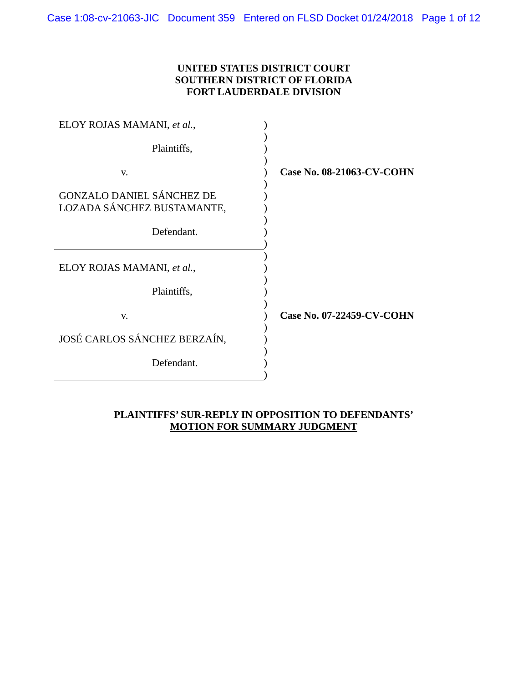### **UNITED STATES DISTRICT COURT SOUTHERN DISTRICT OF FLORIDA FORT LAUDERDALE DIVISION**

| ELOY ROJAS MAMANI, et al.,                                     |                                  |
|----------------------------------------------------------------|----------------------------------|
| Plaintiffs,                                                    |                                  |
| V.                                                             | <b>Case No. 08-21063-CV-COHN</b> |
| <b>GONZALO DANIEL SÁNCHEZ DE</b><br>LOZADA SÁNCHEZ BUSTAMANTE, |                                  |
| Defendant.                                                     |                                  |
| ELOY ROJAS MAMANI, et al.,                                     |                                  |
| Plaintiffs,                                                    |                                  |
| V.                                                             | Case No. 07-22459-CV-COHN        |
| JOSÉ CARLOS SÁNCHEZ BERZAÍN,                                   |                                  |
| Defendant.                                                     |                                  |
|                                                                |                                  |

### **PLAINTIFFS' SUR-REPLY IN OPPOSITION TO DEFENDANTS' MOTION FOR SUMMARY JUDGMENT**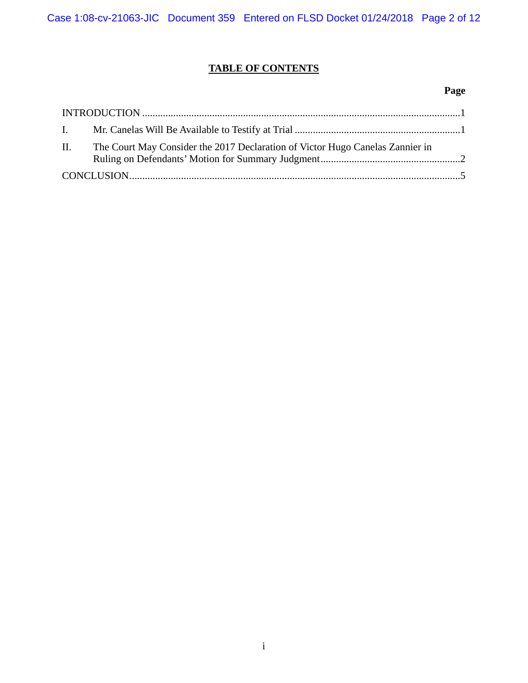# **TABLE OF CONTENTS**

### **Page**

|    | $\bf INTRODUCTION \dots 1$                                                    |  |
|----|-------------------------------------------------------------------------------|--|
|    |                                                                               |  |
| П. | The Court May Consider the 2017 Declaration of Victor Hugo Canelas Zannier in |  |
|    |                                                                               |  |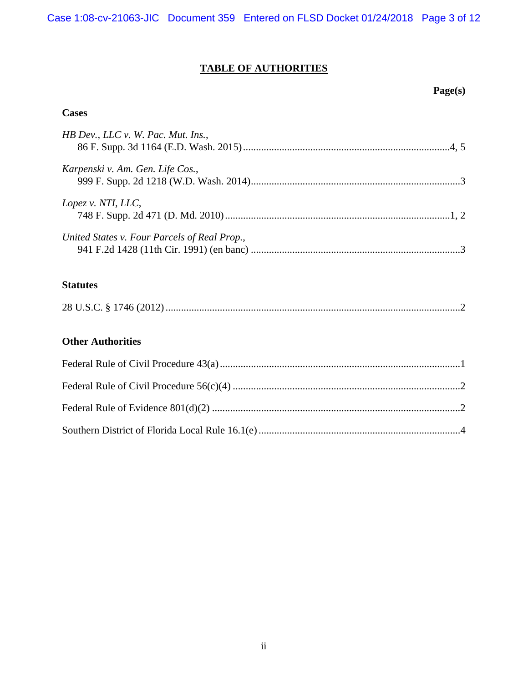Case 1:08-cv-21063-JIC Document 359 Entered on FLSD Docket 01/24/2018 Page 3 of 12

# **TABLE OF AUTHORITIES**

### **Page(s)**

## **Cases**

| HB Dev., LLC v. W. Pac. Mut. Ins.,           |  |
|----------------------------------------------|--|
| Karpenski v. Am. Gen. Life Cos.,             |  |
| Lopez v. NTI, LLC,                           |  |
| United States v. Four Parcels of Real Prop., |  |

## **Statutes**

|--|--|

## **Other Authorities**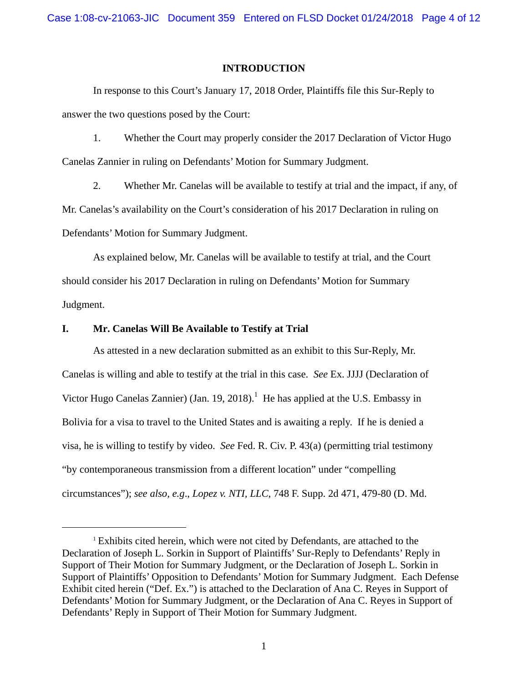Case 1:08-cv-21063-JIC Document 359 Entered on FLSD Docket 01/24/2018 Page 4 of 12

### **INTRODUCTION**

In response to this Court's January 17, 2018 Order, Plaintiffs file this Sur-Reply to answer the two questions posed by the Court:

1. Whether the Court may properly consider the 2017 Declaration of Victor Hugo Canelas Zannier in ruling on Defendants' Motion for Summary Judgment.

2. Whether Mr. Canelas will be available to testify at trial and the impact, if any, of Mr. Canelas's availability on the Court's consideration of his 2017 Declaration in ruling on Defendants' Motion for Summary Judgment.

As explained below, Mr. Canelas will be available to testify at trial, and the Court should consider his 2017 Declaration in ruling on Defendants' Motion for Summary Judgment.

### **I. Mr. Canelas Will Be Available to Testify at Trial**

 $\overline{a}$ 

 As attested in a new declaration submitted as an exhibit to this Sur-Reply, Mr. Canelas is willing and able to testify at the trial in this case. *See* Ex. JJJJ (Declaration of Victor Hugo Canelas Zannier) (Jan. 19, 2018).<sup>1</sup> He has applied at the U.S. Embassy in Bolivia for a visa to travel to the United States and is awaiting a reply. If he is denied a visa, he is willing to testify by video. *See* Fed. R. Civ. P. 43(a) (permitting trial testimony "by contemporaneous transmission from a different location" under "compelling circumstances"); *see also, e.g*., *Lopez v. NTI, LLC*, 748 F. Supp. 2d 471, 479-80 (D. Md.

<sup>&</sup>lt;sup>1</sup> Exhibits cited herein, which were not cited by Defendants, are attached to the Declaration of Joseph L. Sorkin in Support of Plaintiffs' Sur-Reply to Defendants' Reply in Support of Their Motion for Summary Judgment, or the Declaration of Joseph L. Sorkin in Support of Plaintiffs' Opposition to Defendants' Motion for Summary Judgment. Each Defense Exhibit cited herein ("Def. Ex.") is attached to the Declaration of Ana C. Reyes in Support of Defendants' Motion for Summary Judgment, or the Declaration of Ana C. Reyes in Support of Defendants' Reply in Support of Their Motion for Summary Judgment.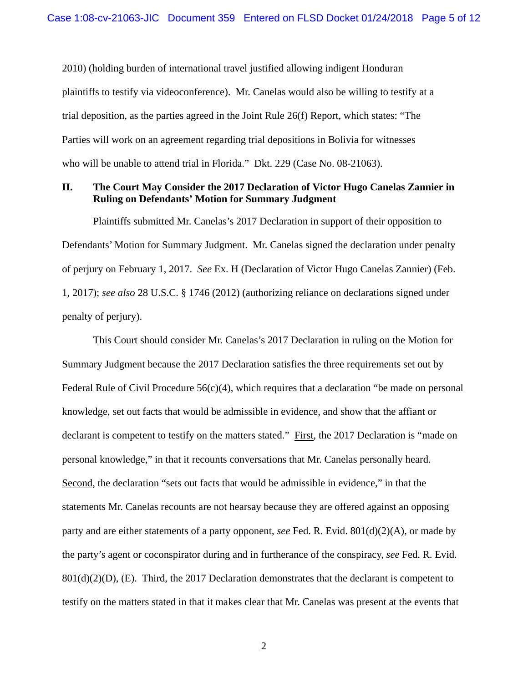2010) (holding burden of international travel justified allowing indigent Honduran plaintiffs to testify via videoconference). Mr. Canelas would also be willing to testify at a trial deposition, as the parties agreed in the Joint Rule 26(f) Report, which states: "The Parties will work on an agreement regarding trial depositions in Bolivia for witnesses who will be unable to attend trial in Florida." Dkt. 229 (Case No. 08-21063).

### **II. The Court May Consider the 2017 Declaration of Victor Hugo Canelas Zannier in Ruling on Defendants' Motion for Summary Judgment**

Plaintiffs submitted Mr. Canelas's 2017 Declaration in support of their opposition to Defendants' Motion for Summary Judgment. Mr. Canelas signed the declaration under penalty of perjury on February 1, 2017. *See* Ex. H (Declaration of Victor Hugo Canelas Zannier) (Feb. 1, 2017); *see also* 28 U.S.C. § 1746 (2012) (authorizing reliance on declarations signed under penalty of perjury).

This Court should consider Mr. Canelas's 2017 Declaration in ruling on the Motion for Summary Judgment because the 2017 Declaration satisfies the three requirements set out by Federal Rule of Civil Procedure  $56(c)(4)$ , which requires that a declaration "be made on personal knowledge, set out facts that would be admissible in evidence, and show that the affiant or declarant is competent to testify on the matters stated." First, the 2017 Declaration is "made on personal knowledge," in that it recounts conversations that Mr. Canelas personally heard. Second, the declaration "sets out facts that would be admissible in evidence," in that the statements Mr. Canelas recounts are not hearsay because they are offered against an opposing party and are either statements of a party opponent, *see* Fed. R. Evid. 801(d)(2)(A), or made by the party's agent or coconspirator during and in furtherance of the conspiracy, *see* Fed. R. Evid.  $801(d)(2)(D)$ , (E). Third, the 2017 Declaration demonstrates that the declarant is competent to testify on the matters stated in that it makes clear that Mr. Canelas was present at the events that

2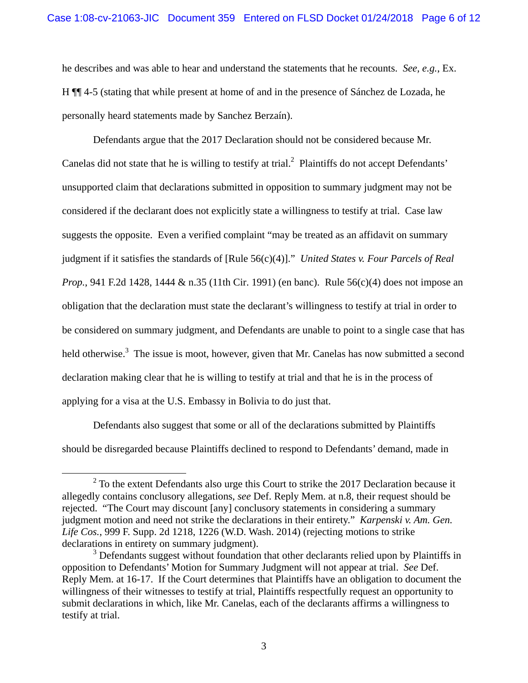he describes and was able to hear and understand the statements that he recounts. *See, e.g.*, Ex. H ¶¶ 4-5 (stating that while present at home of and in the presence of Sánchez de Lozada, he personally heard statements made by Sanchez Berzaín).

 Defendants argue that the 2017 Declaration should not be considered because Mr. Canelas did not state that he is willing to testify at trial. $^2$  Plaintiffs do not accept Defendants' unsupported claim that declarations submitted in opposition to summary judgment may not be considered if the declarant does not explicitly state a willingness to testify at trial. Case law suggests the opposite. Even a verified complaint "may be treated as an affidavit on summary judgment if it satisfies the standards of [Rule 56(c)(4)]." *United States v. Four Parcels of Real Prop.*, 941 F.2d 1428, 1444 & n.35 (11th Cir. 1991) (en banc). Rule 56(c)(4) does not impose an obligation that the declaration must state the declarant's willingness to testify at trial in order to be considered on summary judgment, and Defendants are unable to point to a single case that has held otherwise.<sup>3</sup> The issue is moot, however, given that Mr. Canelas has now submitted a second declaration making clear that he is willing to testify at trial and that he is in the process of applying for a visa at the U.S. Embassy in Bolivia to do just that.

 Defendants also suggest that some or all of the declarations submitted by Plaintiffs should be disregarded because Plaintiffs declined to respond to Defendants' demand, made in

 <sup>2</sup>  $2^2$  To the extent Defendants also urge this Court to strike the 2017 Declaration because it allegedly contains conclusory allegations, *see* Def. Reply Mem. at n.8, their request should be rejected. "The Court may discount [any] conclusory statements in considering a summary judgment motion and need not strike the declarations in their entirety." *Karpenski v. Am. Gen. Life Cos.*, 999 F. Supp. 2d 1218, 1226 (W.D. Wash. 2014) (rejecting motions to strike declarations in entirety on summary judgment).

<sup>&</sup>lt;sup>3</sup> Defendants suggest without foundation that other declarants relied upon by Plaintiffs in opposition to Defendants' Motion for Summary Judgment will not appear at trial. *See* Def. Reply Mem. at 16-17. If the Court determines that Plaintiffs have an obligation to document the willingness of their witnesses to testify at trial, Plaintiffs respectfully request an opportunity to submit declarations in which, like Mr. Canelas, each of the declarants affirms a willingness to testify at trial.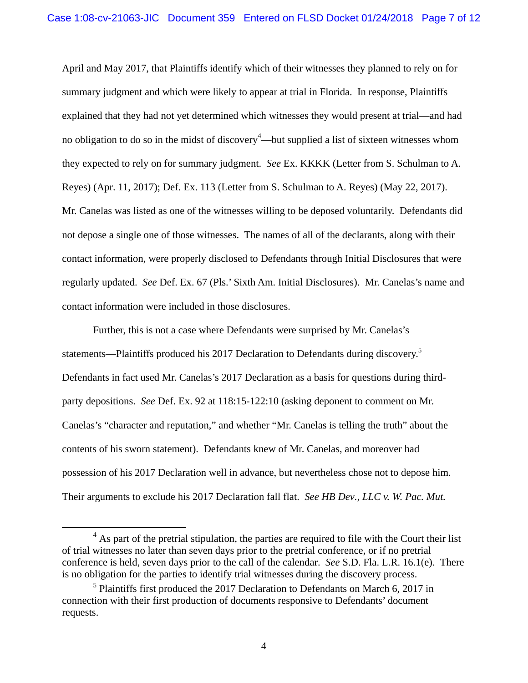April and May 2017, that Plaintiffs identify which of their witnesses they planned to rely on for summary judgment and which were likely to appear at trial in Florida. In response, Plaintiffs explained that they had not yet determined which witnesses they would present at trial—and had no obligation to do so in the midst of discovery<sup>4</sup>—but supplied a list of sixteen witnesses whom they expected to rely on for summary judgment. *See* Ex. KKKK (Letter from S. Schulman to A. Reyes) (Apr. 11, 2017); Def. Ex. 113 (Letter from S. Schulman to A. Reyes) (May 22, 2017). Mr. Canelas was listed as one of the witnesses willing to be deposed voluntarily. Defendants did not depose a single one of those witnesses. The names of all of the declarants, along with their contact information, were properly disclosed to Defendants through Initial Disclosures that were regularly updated. *See* Def. Ex. 67 (Pls.' Sixth Am. Initial Disclosures). Mr. Canelas's name and contact information were included in those disclosures.

Further, this is not a case where Defendants were surprised by Mr. Canelas's statements—Plaintiffs produced his 2017 Declaration to Defendants during discovery.<sup>5</sup> Defendants in fact used Mr. Canelas's 2017 Declaration as a basis for questions during thirdparty depositions. *See* Def. Ex. 92 at 118:15-122:10 (asking deponent to comment on Mr. Canelas's "character and reputation," and whether "Mr. Canelas is telling the truth" about the contents of his sworn statement). Defendants knew of Mr. Canelas, and moreover had possession of his 2017 Declaration well in advance, but nevertheless chose not to depose him. Their arguments to exclude his 2017 Declaration fall flat. *See HB Dev., LLC v. W. Pac. Mut.* 

 $\overline{4}$  $<sup>4</sup>$  As part of the pretrial stipulation, the parties are required to file with the Court their list</sup> of trial witnesses no later than seven days prior to the pretrial conference, or if no pretrial conference is held, seven days prior to the call of the calendar. *See* S.D. Fla. L.R. 16.1(e). There is no obligation for the parties to identify trial witnesses during the discovery process.

<sup>&</sup>lt;sup>5</sup> Plaintiffs first produced the 2017 Declaration to Defendants on March 6, 2017 in connection with their first production of documents responsive to Defendants' document requests.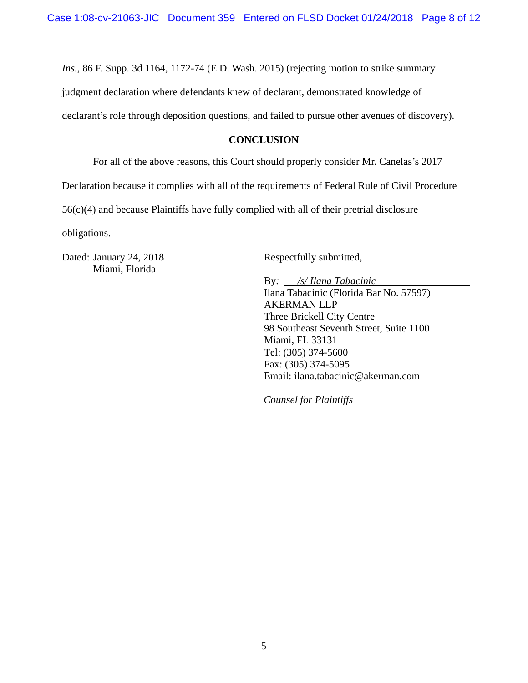*Ins.*, 86 F. Supp. 3d 1164, 1172-74 (E.D. Wash. 2015) (rejecting motion to strike summary judgment declaration where defendants knew of declarant, demonstrated knowledge of declarant's role through deposition questions, and failed to pursue other avenues of discovery).

### **CONCLUSION**

For all of the above reasons, this Court should properly consider Mr. Canelas's 2017

Declaration because it complies with all of the requirements of Federal Rule of Civil Procedure

56(c)(4) and because Plaintiffs have fully complied with all of their pretrial disclosure

obligations.

Dated: January 24, 2018 Miami, Florida

Respectfully submitted,

By*: /s/ Ilana Tabacinic*  Ilana Tabacinic (Florida Bar No. 57597) AKERMAN LLP Three Brickell City Centre 98 Southeast Seventh Street, Suite 1100 Miami, FL 33131 Tel: (305) 374-5600 Fax: (305) 374-5095 Email: ilana.tabacinic@akerman.com

*Counsel for Plaintiffs*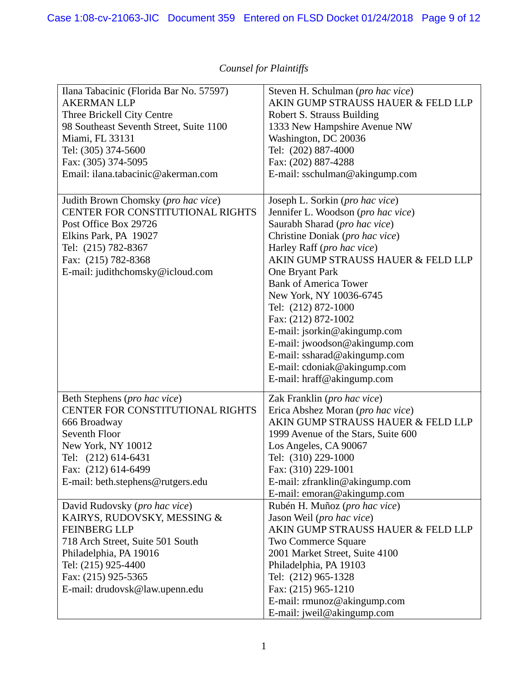| Ilana Tabacinic (Florida Bar No. 57597)<br><b>AKERMAN LLP</b> | Steven H. Schulman (pro hac vice)<br>AKIN GUMP STRAUSS HAUER & FELD LLP |
|---------------------------------------------------------------|-------------------------------------------------------------------------|
| Three Brickell City Centre                                    | Robert S. Strauss Building                                              |
| 98 Southeast Seventh Street, Suite 1100                       | 1333 New Hampshire Avenue NW                                            |
| Miami, FL 33131                                               | Washington, DC 20036                                                    |
| Tel: (305) 374-5600                                           | Tel: (202) 887-4000                                                     |
| Fax: (305) 374-5095                                           | Fax: (202) 887-4288                                                     |
| Email: ilana.tabacinic@akerman.com                            | E-mail: sschulman@akingump.com                                          |
|                                                               |                                                                         |
| Judith Brown Chomsky (pro hac vice)                           | Joseph L. Sorkin (pro hac vice)                                         |
| CENTER FOR CONSTITUTIONAL RIGHTS                              | Jennifer L. Woodson (pro hac vice)                                      |
| Post Office Box 29726                                         | Saurabh Sharad (pro hac vice)                                           |
| Elkins Park, PA 19027                                         | Christine Doniak (pro hac vice)                                         |
| Tel: (215) 782-8367                                           | Harley Raff (pro hac vice)                                              |
| Fax: (215) 782-8368                                           | AKIN GUMP STRAUSS HAUER & FELD LLP                                      |
| E-mail: judithchomsky@icloud.com                              | One Bryant Park                                                         |
|                                                               | <b>Bank of America Tower</b>                                            |
|                                                               | New York, NY 10036-6745                                                 |
|                                                               | Tel: (212) 872-1000                                                     |
|                                                               | Fax: (212) 872-1002                                                     |
|                                                               | E-mail: jsorkin@akingump.com                                            |
|                                                               | E-mail: jwoodson@akingump.com                                           |
|                                                               | E-mail: ssharad@akingump.com                                            |
|                                                               | E-mail: cdoniak@akingump.com                                            |
|                                                               | E-mail: hraff@akingump.com                                              |
|                                                               |                                                                         |
| Beth Stephens (pro hac vice)                                  | Zak Franklin (pro hac vice)                                             |
| CENTER FOR CONSTITUTIONAL RIGHTS                              | Erica Abshez Moran (pro hac vice)                                       |
| 666 Broadway                                                  | AKIN GUMP STRAUSS HAUER & FELD LLP                                      |
| Seventh Floor                                                 | 1999 Avenue of the Stars, Suite 600                                     |
| New York, NY 10012                                            | Los Angeles, CA 90067                                                   |
| Tel: (212) 614-6431                                           | Tel: (310) 229-1000                                                     |
| Fax: (212) 614-6499                                           | Fax: (310) 229-1001                                                     |
| E-mail: beth.stephens@rutgers.edu                             | E-mail: zfranklin@akingump.com                                          |
|                                                               | E-mail: emoran@akingump.com                                             |
| David Rudovsky (pro hac vice)                                 | Rubén H. Muñoz (pro hac vice)                                           |
| KAIRYS, RUDOVSKY, MESSING &                                   | Jason Weil (pro hac vice)                                               |
| <b>FEINBERG LLP</b>                                           | AKIN GUMP STRAUSS HAUER & FELD LLP                                      |
| 718 Arch Street, Suite 501 South                              | Two Commerce Square                                                     |
| Philadelphia, PA 19016                                        | 2001 Market Street, Suite 4100                                          |
| Tel: (215) 925-4400                                           | Philadelphia, PA 19103                                                  |
| Fax: (215) 925-5365                                           | Tel: (212) 965-1328                                                     |
| E-mail: drudovsk@law.upenn.edu                                | Fax: (215) 965-1210                                                     |
|                                                               | E-mail: rmunoz@akingump.com                                             |
|                                                               | E-mail: jweil@akingump.com                                              |

# *Counsel for Plaintiffs*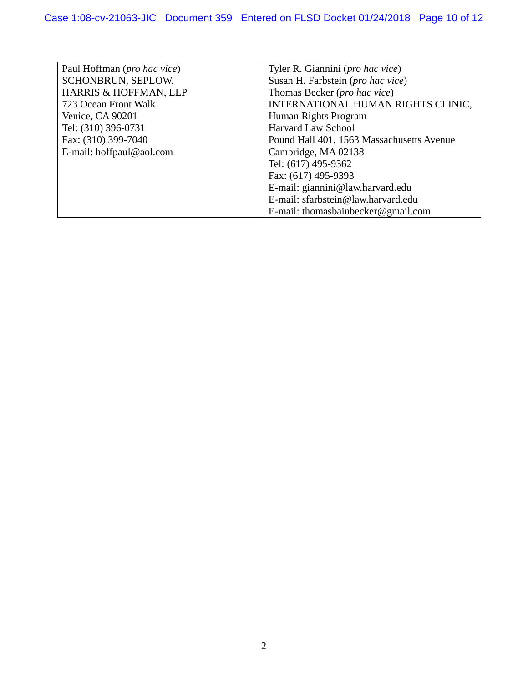| Paul Hoffman ( <i>pro hac vice</i> ) | Tyler R. Giannini ( <i>pro hac vice</i> ) |
|--------------------------------------|-------------------------------------------|
| SCHONBRUN, SEPLOW,                   | Susan H. Farbstein (pro hac vice)         |
| HARRIS & HOFFMAN, LLP                | Thomas Becker ( <i>pro hac vice</i> )     |
| 723 Ocean Front Walk                 | INTERNATIONAL HUMAN RIGHTS CLINIC,        |
| Venice, CA 90201                     | Human Rights Program                      |
| Tel: (310) 396-0731                  | <b>Harvard Law School</b>                 |
| Fax: (310) 399-7040                  | Pound Hall 401, 1563 Massachusetts Avenue |
| E-mail: hoffpaul@aol.com             | Cambridge, MA 02138                       |
|                                      | Tel: (617) 495-9362                       |
|                                      | Fax: (617) 495-9393                       |
|                                      | E-mail: giannini@law.harvard.edu          |
|                                      | E-mail: sfarbstein@law.harvard.edu        |
|                                      | E-mail: thomasbainbecker@gmail.com        |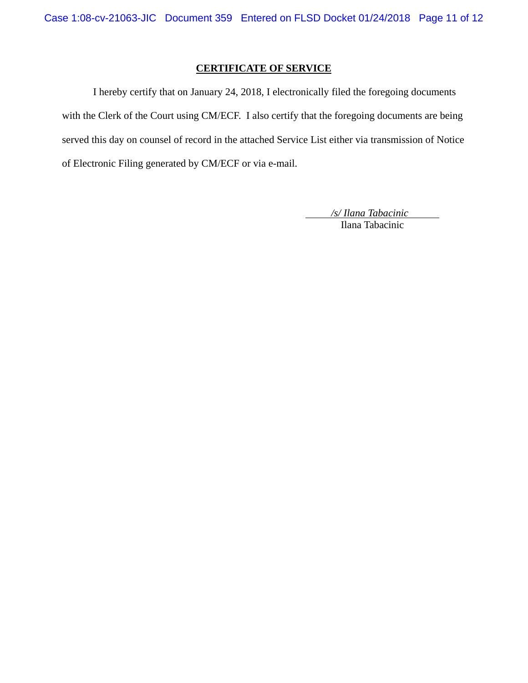### **CERTIFICATE OF SERVICE**

I hereby certify that on January 24, 2018, I electronically filed the foregoing documents with the Clerk of the Court using CM/ECF. I also certify that the foregoing documents are being served this day on counsel of record in the attached Service List either via transmission of Notice of Electronic Filing generated by CM/ECF or via e-mail.

> */s/ Ilana Tabacinic*  Ilana Tabacinic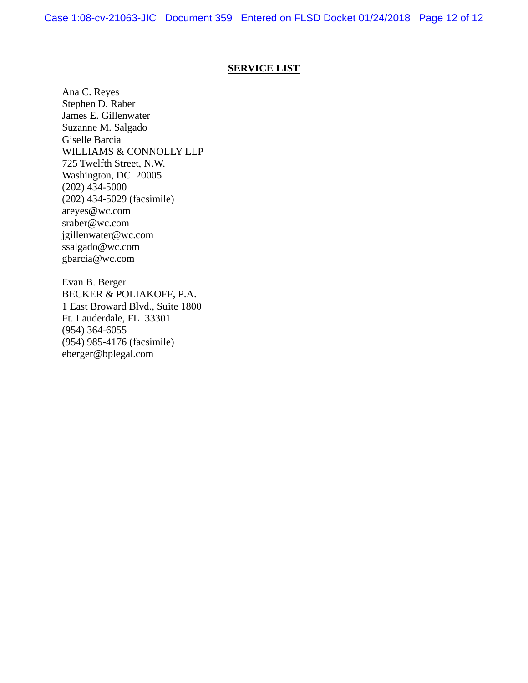### **SERVICE LIST**

Ana C. Reyes Stephen D. Raber James E. Gillenwater Suzanne M. Salgado Giselle Barcia WILLIAMS & CONNOLLY LLP 725 Twelfth Street, N.W. Washington, DC 20005  $(202)$  434-5000 (202) 434-5029 (facsimile) areyes@wc.com sraber@wc.com jgillenwater@wc.com ssalgado@wc.com gbarcia@wc.com

Evan B. Berger BECKER & POLIAKOFF, P.A. 1 East Broward Blvd., Suite 1800 Ft. Lauderdale, FL 33301 (954) 364-6055 (954) 985-4176 (facsimile) eberger@bplegal.com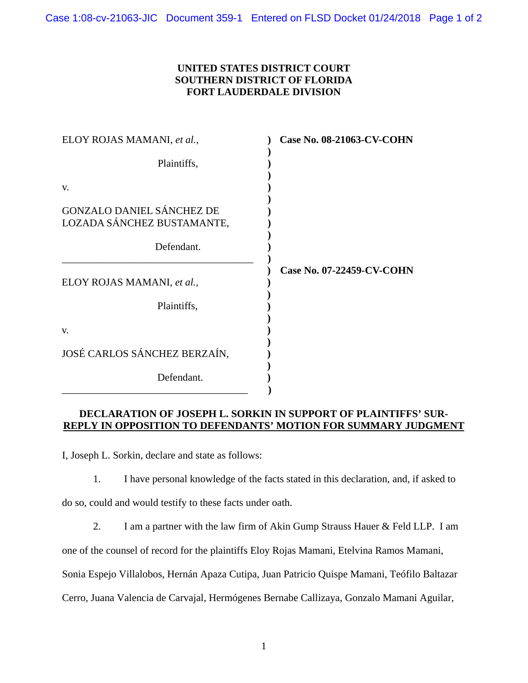### **UNITED STATES DISTRICT COURT SOUTHERN DISTRICT OF FLORIDA FORT LAUDERDALE DIVISION**

| ELOY ROJAS MAMANI, et al.,                                     | <b>Case No. 08-21063-CV-COHN</b> |
|----------------------------------------------------------------|----------------------------------|
| Plaintiffs,                                                    |                                  |
| V.                                                             |                                  |
| <b>GONZALO DANIEL SÁNCHEZ DE</b><br>LOZADA SÁNCHEZ BUSTAMANTE, |                                  |
| Defendant.                                                     |                                  |
| ELOY ROJAS MAMANI, et al.,                                     | Case No. 07-22459-CV-COHN        |
| Plaintiffs,                                                    |                                  |
| V.                                                             |                                  |
| JOSÉ CARLOS SÁNCHEZ BERZAÍN,                                   |                                  |
| Defendant.                                                     |                                  |

### **DECLARATION OF JOSEPH L. SORKIN IN SUPPORT OF PLAINTIFFS' SUR-REPLY IN OPPOSITION TO DEFENDANTS' MOTION FOR SUMMARY JUDGMENT**

I, Joseph L. Sorkin, declare and state as follows:

1. I have personal knowledge of the facts stated in this declaration, and, if asked to

do so, could and would testify to these facts under oath.

2. I am a partner with the law firm of Akin Gump Strauss Hauer & Feld LLP. I am

one of the counsel of record for the plaintiffs Eloy Rojas Mamani, Etelvina Ramos Mamani,

Sonia Espejo Villalobos, Hernán Apaza Cutipa, Juan Patricio Quispe Mamani, Teófilo Baltazar

Cerro, Juana Valencia de Carvajal, Hermógenes Bernabe Callizaya, Gonzalo Mamani Aguilar,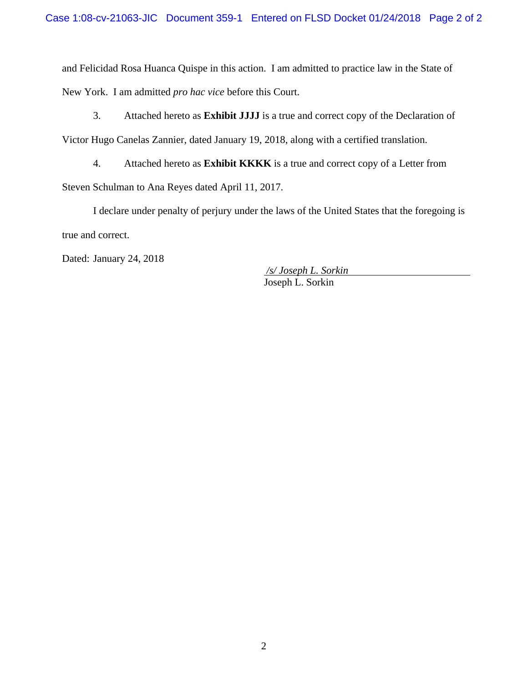and Felicidad Rosa Huanca Quispe in this action. I am admitted to practice law in the State of New York. I am admitted *pro hac vice* before this Court.

3. Attached hereto as **Exhibit JJJJ** is a true and correct copy of the Declaration of Victor Hugo Canelas Zannier, dated January 19, 2018, along with a certified translation.

4. Attached hereto as **Exhibit KKKK** is a true and correct copy of a Letter from Steven Schulman to Ana Reyes dated April 11, 2017.

I declare under penalty of perjury under the laws of the United States that the foregoing is true and correct.

Dated: January 24, 2018

 */s/ Joseph L. Sorkin* Joseph L. Sorkin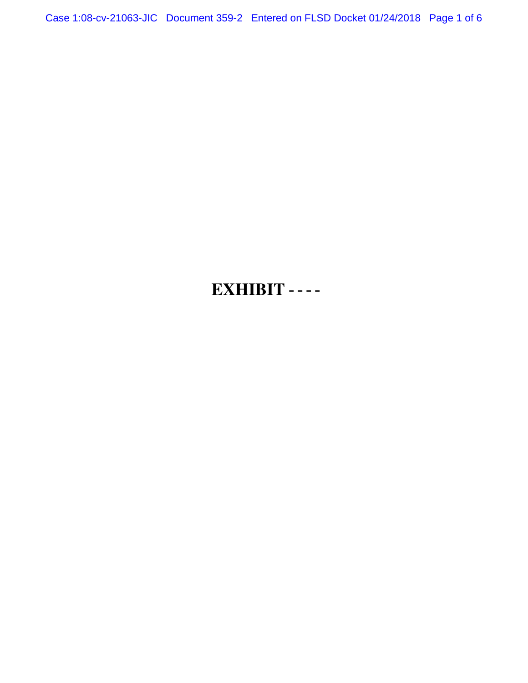Case 1:08-cv-21063-JIC Document 359-2 Entered on FLSD Docket 01/24/2018 Page 1 of 6

# **EXHIBIT LLL**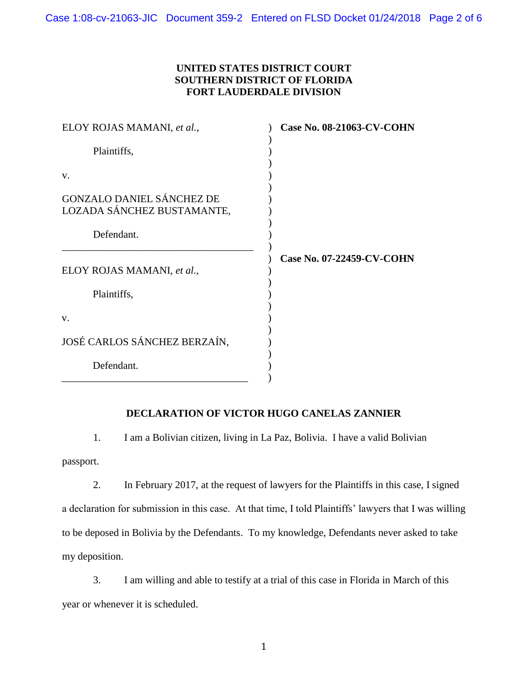### **UNITED STATES DISTRICT COURT SOUTHERN DISTRICT OF FLORIDA FORT LAUDERDALE DIVISION**

| ELOY ROJAS MAMANI, et al.,                                     | <b>Case No. 08-21063-CV-COHN</b> |
|----------------------------------------------------------------|----------------------------------|
| Plaintiffs,                                                    |                                  |
| V.                                                             |                                  |
| <b>GONZALO DANIEL SÁNCHEZ DE</b><br>LOZADA SÁNCHEZ BUSTAMANTE, |                                  |
| Defendant.                                                     |                                  |
| ELOY ROJAS MAMANI, et al.,                                     | Case No. 07-22459-CV-COHN        |
| Plaintiffs,                                                    |                                  |
| V.                                                             |                                  |
| JOSÉ CARLOS SÁNCHEZ BERZAÍN,                                   |                                  |
| Defendant.                                                     |                                  |

### **DECLARATION OF VICTOR HUGO CANELAS ZANNIER**

1. I am a Bolivian citizen, living in La Paz, Bolivia. I have a valid Bolivian passport.

2. In February 2017, at the request of lawyers for the Plaintiffs in this case, I signed a declaration for submission in this case. At that time, I told Plaintiffs' lawyers that I was willing to be deposed in Bolivia by the Defendants. To my knowledge, Defendants never asked to take my deposition.

3. I am willing and able to testify at a trial of this case in Florida in March of this year or whenever it is scheduled.

1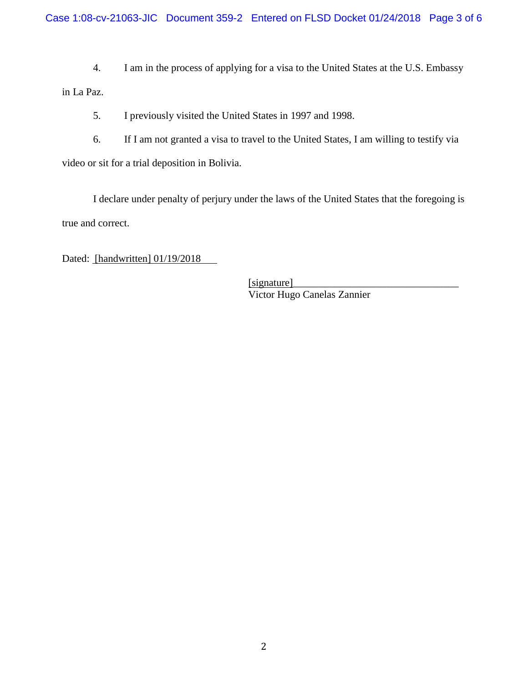Case 1:08-cv-21063-JIC Document 359-2 Entered on FLSD Docket 01/24/2018 Page 3 of 6

4. I am in the process of applying for a visa to the United States at the U.S. Embassy in La Paz.

5. I previously visited the United States in 1997 and 1998.

6. If I am not granted a visa to travel to the United States, I am willing to testify via video or sit for a trial deposition in Bolivia.

I declare under penalty of perjury under the laws of the United States that the foregoing is true and correct.

Dated: [handwritten] 01/19/2018

 $[signature]$ Victor Hugo Canelas Zannier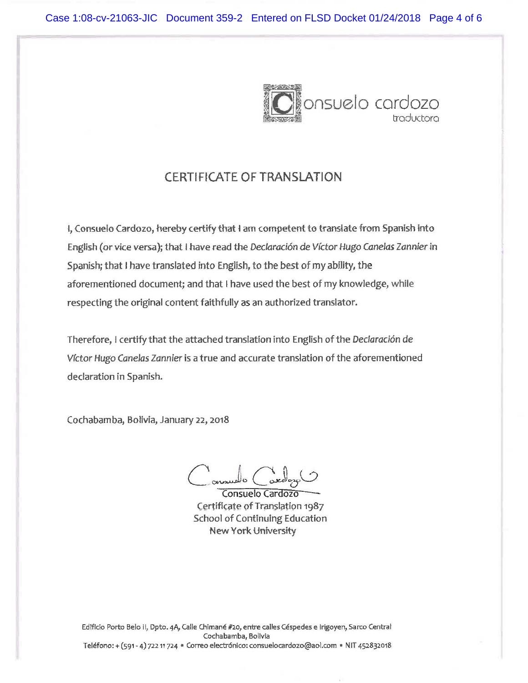

# CERTIFICATE OF TRANSLATION

t, Consuelo Cardozo, hereby certify that t am competent to trans1ate from Spanish into English (or vice versa); that I have read the Declaración de Víctor Hugo Canelas Zannier in Spanish; that I have translated into English, to the best of my ability, the aforementioned document; and that I have used the best of my knowledge, while respecting the original content faithfully as an authorized translator.

Therefore, I certify that the attached translation into English of the Declaración de Vfctor Hugo Canelas Zannier is a true and accurate translation of the aforementioned declaration in Spanish.

Cochabamba, Bolivia, January 22, 2018

 $o$   $C^{\alpha}$ 

Consuelo Cardozo Certificate of Translation 1987 School of Continuing Education New York University

Edificio Porto Belo II, Dpto. 4A, Calle Chimané #20, entre calles Céspedes e Irigoyen, Sarco Central Cochabamba, Bolivia Teléfono: + (591 - 4) 722 11 724 · Correo electrónico: consuelocardozo@aol.com · NIT 452832018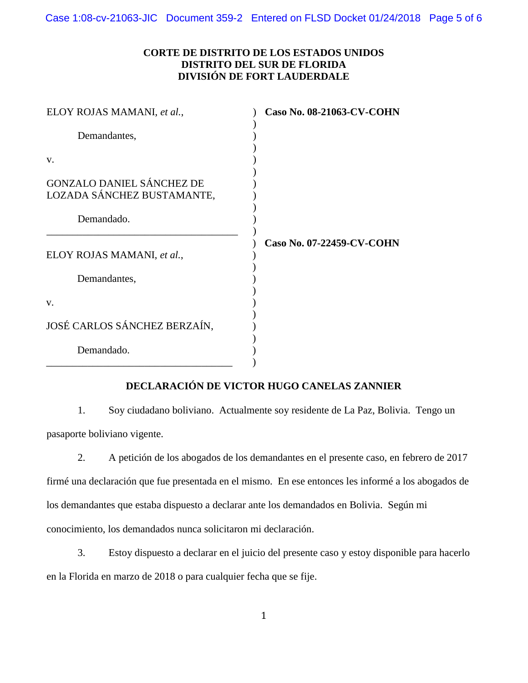Case 1:08-cv-21063-JIC Document 359-2 Entered on FLSD Docket 01/24/2018 Page 5 of 6

### **CORTE DE DISTRITO DE LOS ESTADOS UNIDOS DISTRITO DEL SUR DE FLORIDA DIVISIÓN DE FORT LAUDERDALE**

| ELOY ROJAS MAMANI, et al.,                                     | Caso No. 08-21063-CV-COHN |
|----------------------------------------------------------------|---------------------------|
| Demandantes,                                                   |                           |
| V.                                                             |                           |
| <b>GONZALO DANIEL SÁNCHEZ DE</b><br>LOZADA SÁNCHEZ BUSTAMANTE, |                           |
| Demandado.                                                     |                           |
| ELOY ROJAS MAMANI, et al.,                                     | Caso No. 07-22459-CV-COHN |
| Demandantes,                                                   |                           |
| V.                                                             |                           |
| JOSÉ CARLOS SÁNCHEZ BERZAÍN,                                   |                           |
| Demandado.                                                     |                           |

### **DECLARACIÓN DE VICTOR HUGO CANELAS ZANNIER**

1. Soy ciudadano boliviano. Actualmente soy residente de La Paz, Bolivia. Tengo un pasaporte boliviano vigente.

2. A petición de los abogados de los demandantes en el presente caso, en febrero de 2017 firmé una declaración que fue presentada en el mismo. En ese entonces les informé a los abogados de los demandantes que estaba dispuesto a declarar ante los demandados en Bolivia. Según mi conocimiento, los demandados nunca solicitaron mi declaración.

3. Estoy dispuesto a declarar en el juicio del presente caso y estoy disponible para hacerlo en la Florida en marzo de 2018 o para cualquier fecha que se fije.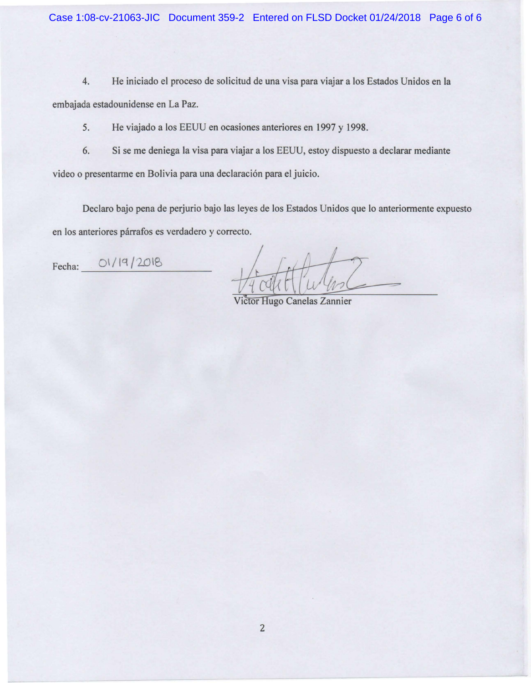4. He iniciado el proceso de solicitud de una visa para viajar a los Estados Unidos en Ia embajada estadounidense en La Paz.

5. He viajado a los EEUU en ocasiones anteriores en 1997 y 1998.

6. Si se me deniega Ia visa para viajar a los EEUU, estoy dispuesto a declarar mediante

video o presentarme en Bolivia para una declaración para el juicio.

Declaro bajo pena de perjurio bajo las leyes de los Estados Unidos que lo anteriormente expuesto en los anteriores párrafos es verdadero y correcto.

Fecha: 01/19/2018

Victor Hugo Canelas Zannier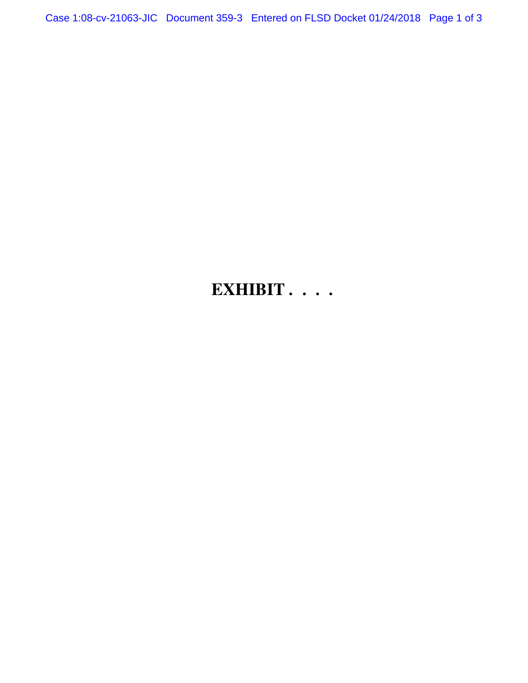Case 1:08-cv-21063-JIC Document 359-3 Entered on FLSD Docket 01/24/2018 Page 1 of 3

# **EXHIBIT MMMM**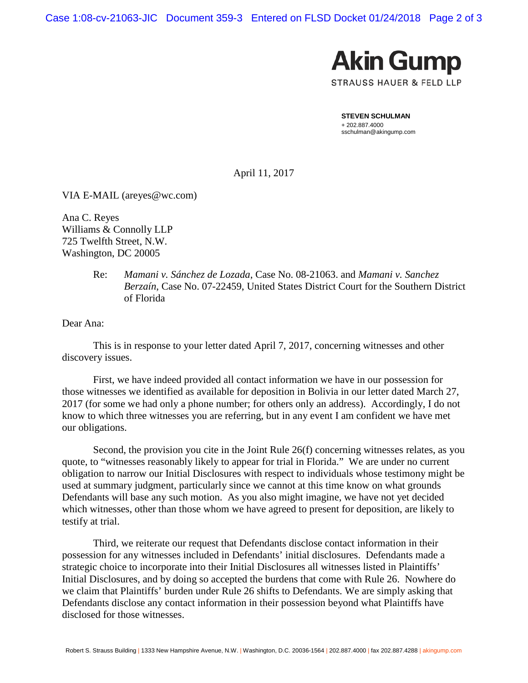Case 1:08-cv-21063-JIC Document 359-3 Entered on FLSD Docket 01/24/2018 Page 2 of 3



**STEVEN SCHULMAN** + 202.887.4000 sschulman@akingump.com

April 11, 2017

VIA E-MAIL (areyes@wc.com)

Ana C. Reyes Williams & Connolly LLP 725 Twelfth Street, N.W. Washington, DC 20005

> Re: *Mamani v. Sánchez de Lozada*, Case No. 08-21063. and *Mamani v. Sanchez Berzaín*, Case No. 07-22459, United States District Court for the Southern District of Florida

Dear Ana:

This is in response to your letter dated April 7, 2017, concerning witnesses and other discovery issues.

First, we have indeed provided all contact information we have in our possession for those witnesses we identified as available for deposition in Bolivia in our letter dated March 27, 2017 (for some we had only a phone number; for others only an address). Accordingly, I do not know to which three witnesses you are referring, but in any event I am confident we have met our obligations.

Second, the provision you cite in the Joint Rule 26(f) concerning witnesses relates, as you quote, to "witnesses reasonably likely to appear for trial in Florida." We are under no current obligation to narrow our Initial Disclosures with respect to individuals whose testimony might be used at summary judgment, particularly since we cannot at this time know on what grounds Defendants will base any such motion. As you also might imagine, we have not yet decided which witnesses, other than those whom we have agreed to present for deposition, are likely to testify at trial.

Third, we reiterate our request that Defendants disclose contact information in their possession for any witnesses included in Defendants' initial disclosures. Defendants made a strategic choice to incorporate into their Initial Disclosures all witnesses listed in Plaintiffs' Initial Disclosures, and by doing so accepted the burdens that come with Rule 26. Nowhere do we claim that Plaintiffs' burden under Rule 26 shifts to Defendants. We are simply asking that Defendants disclose any contact information in their possession beyond what Plaintiffs have disclosed for those witnesses.